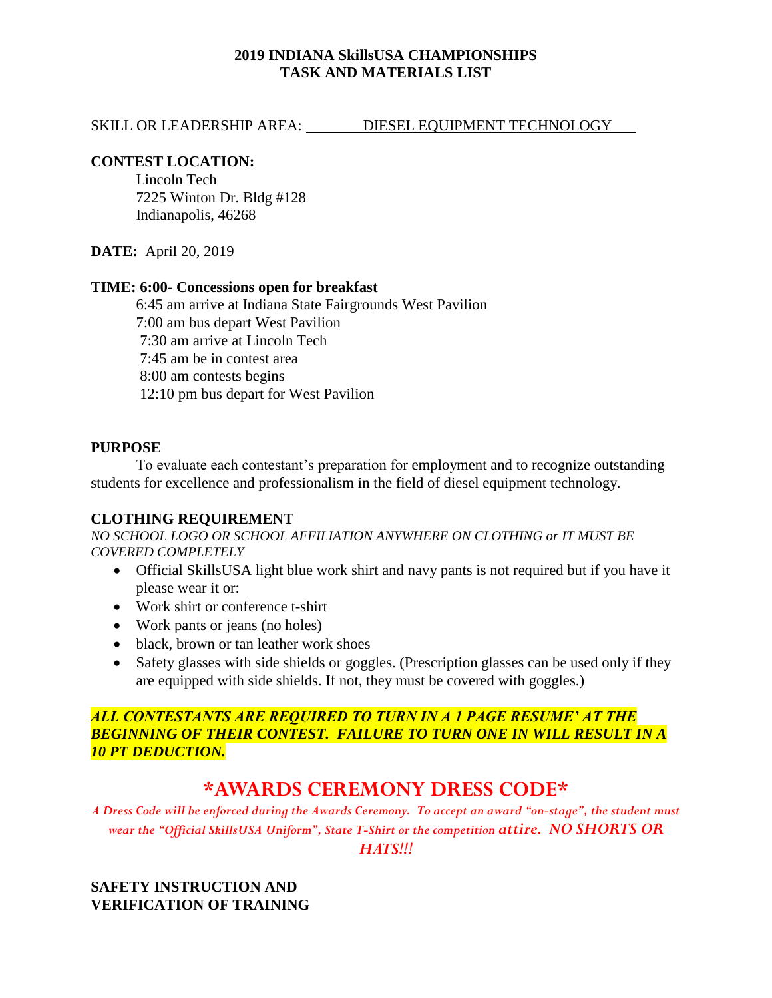## **2019 INDIANA SkillsUSA CHAMPIONSHIPS TASK AND MATERIALS LIST**

#### SKILL OR LEADERSHIP AREA: DIESEL EQUIPMENT TECHNOLOGY

### **CONTEST LOCATION:**

Lincoln Tech 7225 Winton Dr. Bldg #128 Indianapolis, 46268

**DATE:** April 20, 2019

#### **TIME: 6:00- Concessions open for breakfast**

6:45 am arrive at Indiana State Fairgrounds West Pavilion 7:00 am bus depart West Pavilion 7:30 am arrive at Lincoln Tech 7:45 am be in contest area 8:00 am contests begins 12:10 pm bus depart for West Pavilion

## **PURPOSE**

To evaluate each contestant's preparation for employment and to recognize outstanding students for excellence and professionalism in the field of diesel equipment technology.

#### **CLOTHING REQUIREMENT**

*NO SCHOOL LOGO OR SCHOOL AFFILIATION ANYWHERE ON CLOTHING or IT MUST BE COVERED COMPLETELY*

- Official SkillsUSA light blue work shirt and navy pants is not required but if you have it please wear it or:
- Work shirt or conference t-shirt
- Work pants or jeans (no holes)
- black, brown or tan leather work shoes
- Safety glasses with side shields or goggles. (Prescription glasses can be used only if they are equipped with side shields. If not, they must be covered with goggles.)

## *ALL CONTESTANTS ARE REQUIRED TO TURN IN A 1 PAGE RESUME' AT THE BEGINNING OF THEIR CONTEST. FAILURE TO TURN ONE IN WILL RESULT IN A 10 PT DEDUCTION.*

# **\*AWARDS CEREMONY DRESS CODE\***

*A Dress Code will be enforced during the Awards Ceremony. To accept an award "on-stage", the student must wear the "Official SkillsUSA Uniform", State T-Shirt or the competition attire. NO SHORTS OR* 

*HATS!!!*

# **SAFETY INSTRUCTION AND VERIFICATION OF TRAINING**